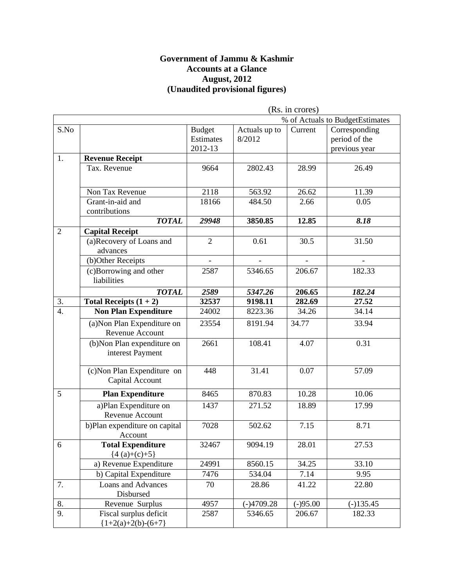#### **Government of Jammu & Kashmir Accounts at a Glance August, 2012 (Unaudited provisional figures)**

|                  |                                                   |                                       |                         | (Rs. in crores) |                                                 |
|------------------|---------------------------------------------------|---------------------------------------|-------------------------|-----------------|-------------------------------------------------|
|                  |                                                   |                                       |                         |                 | % of Actuals to BudgetEstimates                 |
| S.No             |                                                   | <b>Budget</b><br>Estimates<br>2012-13 | Actuals up to<br>8/2012 | Current         | Corresponding<br>period of the<br>previous year |
| 1.               | <b>Revenue Receipt</b>                            |                                       |                         |                 |                                                 |
|                  | Tax. Revenue                                      | 9664                                  | 2802.43                 | 28.99           | 26.49                                           |
|                  | Non Tax Revenue                                   | 2118                                  | 563.92                  | 26.62           | 11.39                                           |
|                  | Grant-in-aid and<br>contributions                 | 18166                                 | 484.50                  | 2.66            | 0.05                                            |
|                  | <b>TOTAL</b>                                      | 29948                                 | 3850.85                 | 12.85           | 8.18                                            |
| $\overline{2}$   | <b>Capital Receipt</b>                            |                                       |                         |                 |                                                 |
|                  | (a)Recovery of Loans and<br>advances              | $\overline{2}$                        | 0.61                    | 30.5            | 31.50                                           |
|                  | (b)Other Receipts                                 |                                       |                         |                 |                                                 |
|                  | (c)Borrowing and other<br>liabilities             | 2587                                  | 5346.65                 | 206.67          | 182.33                                          |
|                  | <b>TOTAL</b>                                      | 2589                                  | 5347.26                 | 206.65          | 182.24                                          |
| 3.               | Total Receipts $(1 + 2)$                          | 32537                                 | 9198.11                 | 282.69          | 27.52                                           |
| $\overline{4}$ . | <b>Non Plan Expenditure</b>                       | 24002                                 | 8223.36                 | 34.26           | 34.14                                           |
|                  | (a) Non Plan Expenditure on<br>Revenue Account    | 23554                                 | 8191.94                 | 34.77           | 33.94                                           |
|                  | $(b)$ Non Plan expenditure on<br>interest Payment | 2661                                  | 108.41                  | 4.07            | 0.31                                            |
|                  | (c) Non Plan Expenditure on<br>Capital Account    | 448                                   | 31.41                   | 0.07            | 57.09                                           |
| 5                | <b>Plan Expenditure</b>                           | 8465                                  | 870.83                  | 10.28           | 10.06                                           |
|                  | a)Plan Expenditure on<br>Revenue Account          | 1437                                  | 271.52                  | 18.89           | 17.99                                           |
|                  | b)Plan expenditure on capital<br>Account          | 7028                                  | 502.62                  | 7.15            | 8.71                                            |
| 6                | <b>Total Expenditure</b><br>${4(a)+(c)+5}$        | 32467                                 | 9094.19                 | 28.01           | 27.53                                           |
|                  | a) Revenue Expenditure                            | 24991                                 | 8560.15                 | 34.25           | 33.10                                           |
|                  | b) Capital Expenditure                            | 7476                                  | 534.04                  | 7.14            | 9.95                                            |
| 7.               | <b>Loans and Advances</b><br>Disbursed            | 70                                    | 28.86                   | 41.22           | 22.80                                           |
| 8.               | Revenue Surplus                                   | 4957                                  | $(-)4709.28$            | $(-)95.00$      | $(-)135.45$                                     |
| 9.               | Fiscal surplus deficit<br>${1+2(a)+2(b)-(6+7)}$   | 2587                                  | 5346.65                 | 206.67          | 182.33                                          |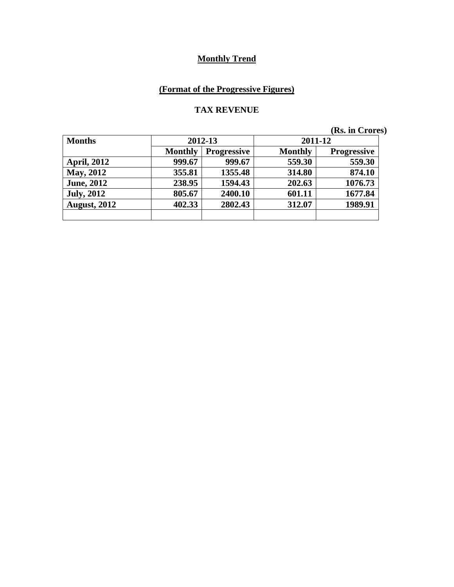# **(Format of the Progressive Figures)**

#### **TAX REVENUE**

| <b>Months</b>       | 2012-13        |                    | 2011-12        |                    |
|---------------------|----------------|--------------------|----------------|--------------------|
|                     | <b>Monthly</b> | <b>Progressive</b> | <b>Monthly</b> | <b>Progressive</b> |
| <b>April, 2012</b>  | 999.67         | 999.67             | 559.30         | 559.30             |
| <b>May, 2012</b>    | 355.81         | 1355.48            | 314.80         | 874.10             |
| <b>June, 2012</b>   | 238.95         | 1594.43            | 202.63         | 1076.73            |
| <b>July, 2012</b>   | 805.67         | 2400.10            | 601.11         | 1677.84            |
| <b>August, 2012</b> | 402.33         | 2802.43            | 312.07         | 1989.91            |
|                     |                |                    |                |                    |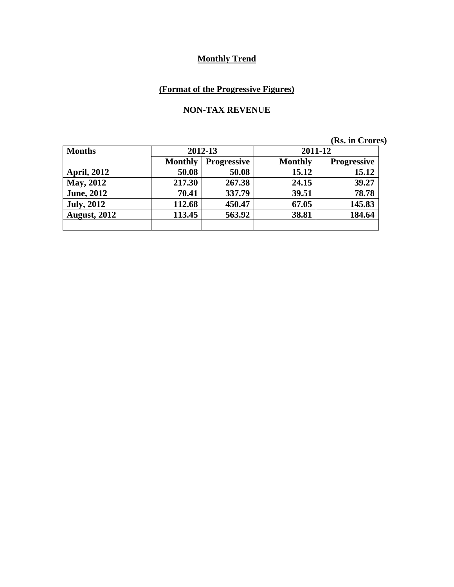# **(Format of the Progressive Figures)**

#### **NON-TAX REVENUE**

| <b>Months</b>       |                | 2012-13            |                | 2011-12            |  |
|---------------------|----------------|--------------------|----------------|--------------------|--|
|                     | <b>Monthly</b> | <b>Progressive</b> | <b>Monthly</b> | <b>Progressive</b> |  |
| <b>April, 2012</b>  | 50.08          | 50.08              | 15.12          | 15.12              |  |
| <b>May, 2012</b>    | 217.30         | 267.38             | 24.15          | 39.27              |  |
| <b>June, 2012</b>   | 70.41          | 337.79             | 39.51          | 78.78              |  |
| <b>July, 2012</b>   | 112.68         | 450.47             | 67.05          | 145.83             |  |
| <b>August, 2012</b> | 113.45         | 563.92             | 38.81          | 184.64             |  |
|                     |                |                    |                |                    |  |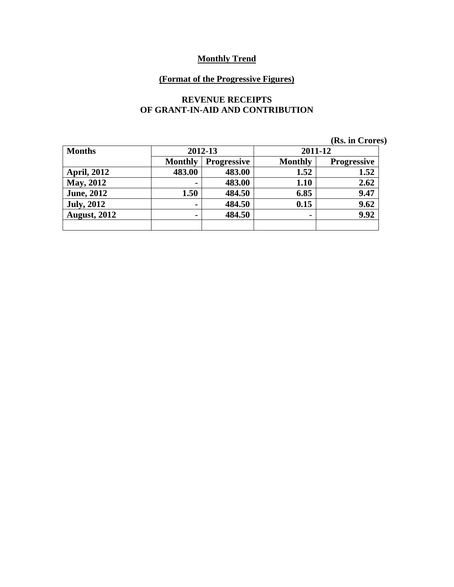### **(Format of the Progressive Figures)**

#### **REVENUE RECEIPTS OF GRANT-IN-AID AND CONTRIBUTION**

|                     |                |                    |                | (Rs. in Crores)    |
|---------------------|----------------|--------------------|----------------|--------------------|
| <b>Months</b>       |                | 2012-13            | 2011-12        |                    |
|                     | <b>Monthly</b> | <b>Progressive</b> | <b>Monthly</b> | <b>Progressive</b> |
| <b>April, 2012</b>  | 483.00         | 483.00             | 1.52           | 1.52               |
| <b>May, 2012</b>    | $\blacksquare$ | 483.00             | 1.10           | 2.62               |
| <b>June</b> , 2012  | 1.50           | 484.50             | 6.85           | 9.47               |
| <b>July, 2012</b>   | $\blacksquare$ | 484.50             | 0.15           | 9.62               |
| <b>August, 2012</b> | $\blacksquare$ | 484.50             | $\blacksquare$ | 9.92               |
|                     |                |                    |                |                    |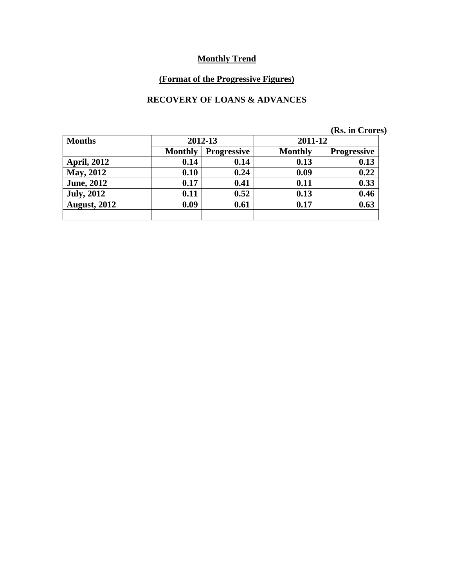# **(Format of the Progressive Figures)**

### **RECOVERY OF LOANS & ADVANCES**

| (Rs. in Crores) |  |  |
|-----------------|--|--|
|-----------------|--|--|

| <b>Months</b>       |                | 2012-13            |                | 2011-12            |  |
|---------------------|----------------|--------------------|----------------|--------------------|--|
|                     | <b>Monthly</b> | <b>Progressive</b> | <b>Monthly</b> | <b>Progressive</b> |  |
| <b>April, 2012</b>  | 0.14           | 0.14               | 0.13           | 0.13               |  |
| <b>May, 2012</b>    | 0.10           | 0.24               | 0.09           | 0.22               |  |
| <b>June, 2012</b>   | 0.17           | 0.41               | 0.11           | 0.33               |  |
| <b>July, 2012</b>   | 0.11           | 0.52               | 0.13           | 0.46               |  |
| <b>August, 2012</b> | 0.09           | 0.61               | 0.17           | 0.63               |  |
|                     |                |                    |                |                    |  |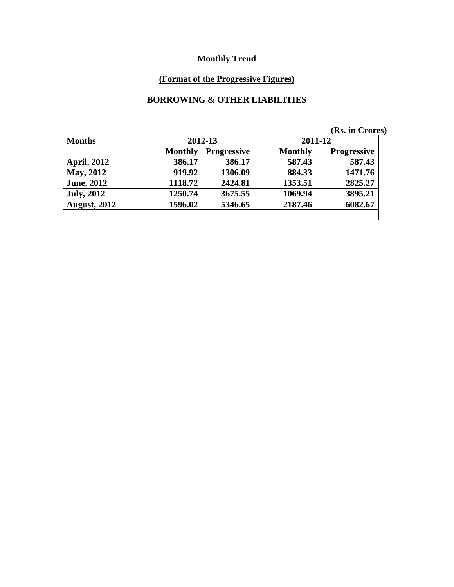# **(Format of the Progressive Figures)**

### **BORROWING & OTHER LIABILITIES**

|                     |                |                    |                | (Rs. in Crores)    |
|---------------------|----------------|--------------------|----------------|--------------------|
| <b>Months</b>       |                | 2012-13            | 2011-12        |                    |
|                     | <b>Monthly</b> | <b>Progressive</b> | <b>Monthly</b> | <b>Progressive</b> |
| <b>April, 2012</b>  | 386.17         | 386.17             | 587.43         | 587.43             |
| <b>May, 2012</b>    | 919.92         | 1306.09            | 884.33         | 1471.76            |
| <b>June, 2012</b>   | 1118.72        | 2424.81            | 1353.51        | 2825.27            |
| <b>July, 2012</b>   | 1250.74        | 3675.55            | 1069.94        | 3895.21            |
| <b>August, 2012</b> | 1596.02        | 5346.65            | 2187.46        | 6082.67            |
|                     |                |                    |                |                    |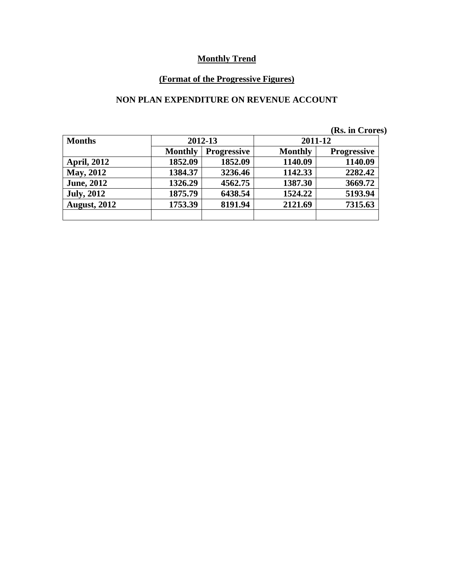# **(Format of the Progressive Figures)**

### **NON PLAN EXPENDITURE ON REVENUE ACCOUNT**

|  | (Rs. in Crores) |  |
|--|-----------------|--|
|--|-----------------|--|

| <b>Months</b>       | 2012-13        |                    | 2011-12        |                    |
|---------------------|----------------|--------------------|----------------|--------------------|
|                     | <b>Monthly</b> | <b>Progressive</b> | <b>Monthly</b> | <b>Progressive</b> |
| <b>April, 2012</b>  | 1852.09        | 1852.09            | 1140.09        | 1140.09            |
| May, 2012           | 1384.37        | 3236.46            | 1142.33        | 2282.42            |
| <b>June, 2012</b>   | 1326.29        | 4562.75            | 1387.30        | 3669.72            |
| <b>July, 2012</b>   | 1875.79        | 6438.54            | 1524.22        | 5193.94            |
| <b>August, 2012</b> | 1753.39        | 8191.94            | 2121.69        | 7315.63            |
|                     |                |                    |                |                    |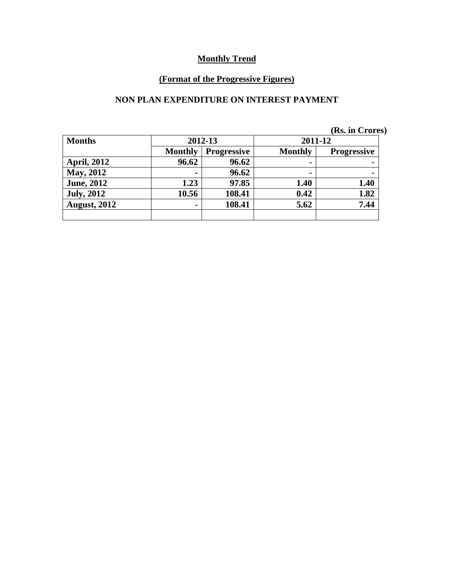# **(Format of the Progressive Figures)**

### **NON PLAN EXPENDITURE ON INTEREST PAYMENT**

| <b>Months</b>       | 2012-13        |                    | 2011-12        |                    |
|---------------------|----------------|--------------------|----------------|--------------------|
|                     | <b>Monthly</b> | <b>Progressive</b> | <b>Monthly</b> | <b>Progressive</b> |
| <b>April, 2012</b>  | 96.62          | 96.62              | ۰              |                    |
| May, 2012           | -              | 96.62              | ۰              |                    |
| <b>June, 2012</b>   | 1.23           | 97.85              | 1.40           | 1.40               |
| <b>July, 2012</b>   | 10.56          | 108.41             | 0.42           | 1.82               |
| <b>August, 2012</b> |                | 108.41             | 5.62           | 7.44               |
|                     |                |                    |                |                    |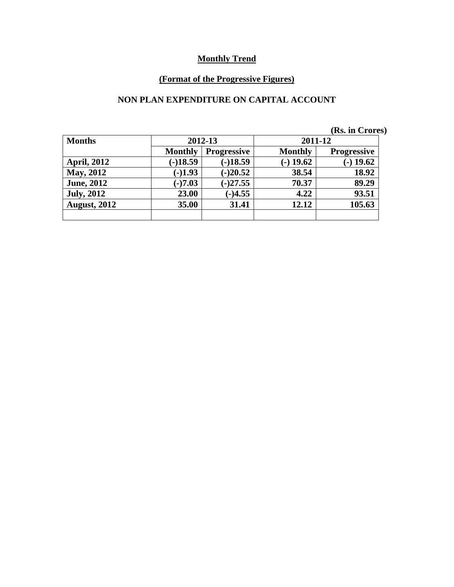# **(Format of the Progressive Figures)**

### **NON PLAN EXPENDITURE ON CAPITAL ACCOUNT**

|  |  | (Rs. in Crores) |
|--|--|-----------------|
|--|--|-----------------|

| <b>Months</b>       | 2012-13        |                    | 2011-12        |                    |
|---------------------|----------------|--------------------|----------------|--------------------|
|                     | <b>Monthly</b> | <b>Progressive</b> | <b>Monthly</b> | <b>Progressive</b> |
| <b>April, 2012</b>  | $(-)18.59$     | $(-)18.59$         | $-$ ) 19.62    | $(-)$ 19.62        |
| <b>May, 2012</b>    | $(-)1.93$      | $(-)20.52$         | 38.54          | 18.92              |
| <b>June, 2012</b>   | $(-)7.03$      | $(-)27.55$         | 70.37          | 89.29              |
| <b>July, 2012</b>   | 23.00          | $(-)4.55$          | 4.22           | 93.51              |
| <b>August, 2012</b> | 35.00          | 31.41              | 12.12          | 105.63             |
|                     |                |                    |                |                    |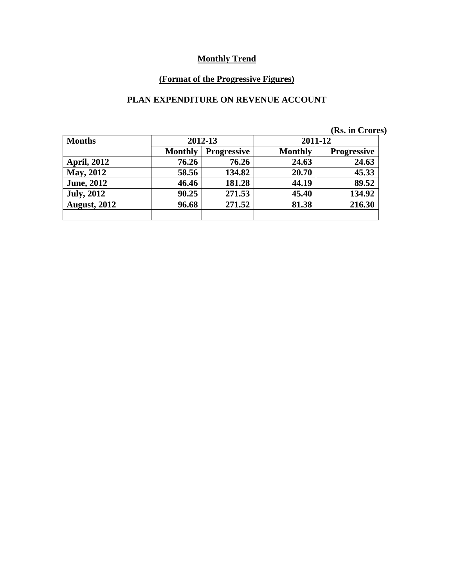# **(Format of the Progressive Figures)**

### **PLAN EXPENDITURE ON REVENUE ACCOUNT**

|  | (Rs. in Crores) |
|--|-----------------|
|  |                 |

| <b>Months</b>       | 2012-13        |                    | 2011-12 |                    |
|---------------------|----------------|--------------------|---------|--------------------|
|                     | <b>Monthly</b> | <b>Progressive</b> |         | <b>Progressive</b> |
| <b>April, 2012</b>  | 76.26          | 76.26              | 24.63   | 24.63              |
| <b>May, 2012</b>    | 58.56          | 134.82             | 20.70   | 45.33              |
| <b>June, 2012</b>   | 46.46          | 181.28             | 44.19   | 89.52              |
| <b>July, 2012</b>   | 90.25          | 271.53             | 45.40   | 134.92             |
| <b>August, 2012</b> | 96.68          | 271.52             | 81.38   | 216.30             |
|                     |                |                    |         |                    |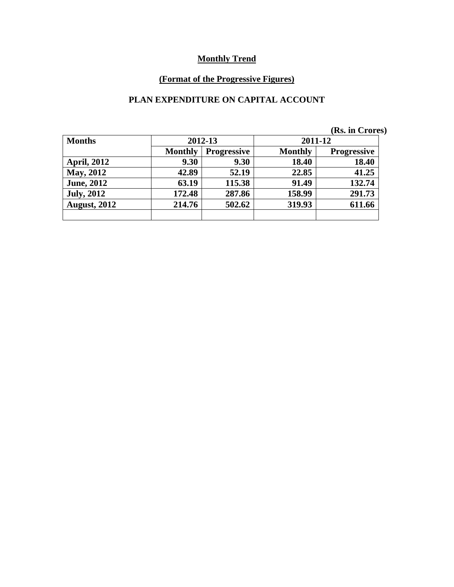# **(Format of the Progressive Figures)**

### **PLAN EXPENDITURE ON CAPITAL ACCOUNT**

| <b>Months</b>       | 2012-13                              |        | 2011-12        |                    |  |
|---------------------|--------------------------------------|--------|----------------|--------------------|--|
|                     | <b>Monthly</b><br><b>Progressive</b> |        | <b>Monthly</b> | <b>Progressive</b> |  |
| <b>April, 2012</b>  | 9.30                                 | 9.30   | 18.40          | 18.40              |  |
| <b>May, 2012</b>    | 42.89                                | 52.19  | 22.85          | 41.25              |  |
| <b>June, 2012</b>   | 63.19                                | 115.38 | 91.49          | 132.74             |  |
| <b>July, 2012</b>   | 172.48                               | 287.86 | 158.99         | 291.73             |  |
| <b>August, 2012</b> | 214.76                               | 502.62 | 319.93         | 611.66             |  |
|                     |                                      |        |                |                    |  |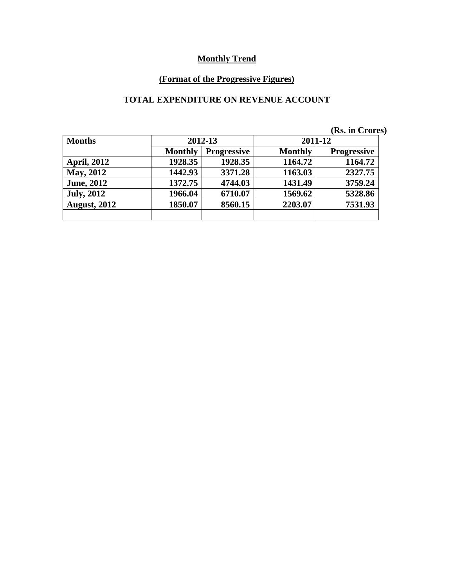# **(Format of the Progressive Figures)**

### **TOTAL EXPENDITURE ON REVENUE ACCOUNT**

| (Rs. in Crores) |  |
|-----------------|--|
|-----------------|--|

| <b>Months</b>       | 2012-13        |                    | 2011-12        |                    |  |
|---------------------|----------------|--------------------|----------------|--------------------|--|
|                     | <b>Monthly</b> | <b>Progressive</b> | <b>Monthly</b> | <b>Progressive</b> |  |
| <b>April, 2012</b>  | 1928.35        | 1928.35            | 1164.72        | 1164.72            |  |
| May, 2012           | 1442.93        | 3371.28            | 1163.03        | 2327.75            |  |
| <b>June, 2012</b>   | 1372.75        | 4744.03            | 1431.49        | 3759.24            |  |
| <b>July, 2012</b>   | 1966.04        | 6710.07            | 1569.62        | 5328.86            |  |
| <b>August, 2012</b> | 1850.07        | 8560.15            | 2203.07        | 7531.93            |  |
|                     |                |                    |                |                    |  |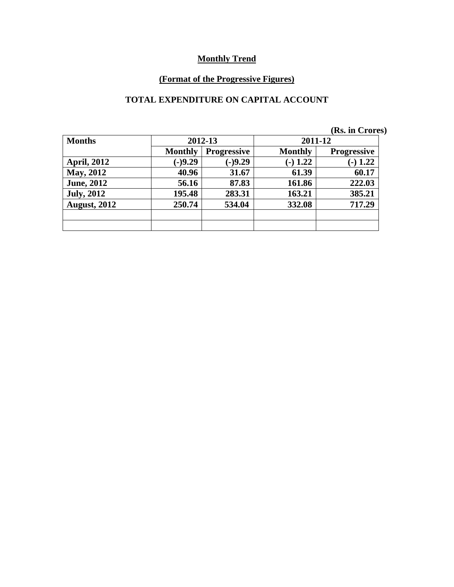# **(Format of the Progressive Figures)**

### **TOTAL EXPENDITURE ON CAPITAL ACCOUNT**

|                     |                |                    |                | (Rs. in Crores)    |  |
|---------------------|----------------|--------------------|----------------|--------------------|--|
| <b>Months</b>       |                | 2012-13            | 2011-12        |                    |  |
|                     | <b>Monthly</b> | <b>Progressive</b> | <b>Monthly</b> | <b>Progressive</b> |  |
| <b>April, 2012</b>  | $(-)9.29$      | $(-)9.29$          | $-1.22$        | 1.22<br>- 1        |  |
| <b>May, 2012</b>    | 40.96          | 31.67              | 61.39          | 60.17              |  |
| <b>June, 2012</b>   | 56.16          | 87.83              | 161.86         | 222.03             |  |
| <b>July, 2012</b>   | 195.48         | 283.31             | 163.21         | 385.21             |  |
| <b>August, 2012</b> | 250.74         | 534.04             | 332.08         | 717.29             |  |
|                     |                |                    |                |                    |  |
|                     |                |                    |                |                    |  |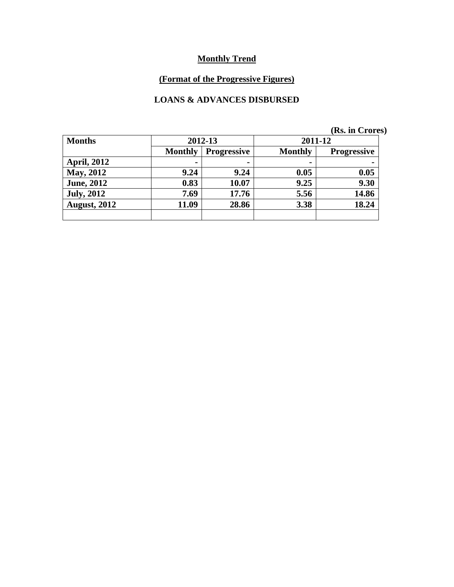# **(Format of the Progressive Figures)**

### **LOANS & ADVANCES DISBURSED**

|  | (Rs. in Crores) |
|--|-----------------|
|  |                 |

| <b>Months</b>       | 2012-13                              |       | 2011-12        |                    |
|---------------------|--------------------------------------|-------|----------------|--------------------|
|                     | <b>Monthly</b><br><b>Progressive</b> |       | <b>Monthly</b> | <b>Progressive</b> |
| <b>April, 2012</b>  |                                      |       | ۰              |                    |
| May, 2012           | 9.24                                 | 9.24  | 0.05           | 0.05               |
| <b>June, 2012</b>   | 0.83                                 | 10.07 | 9.25           | 9.30               |
| <b>July, 2012</b>   | 7.69                                 | 17.76 | 5.56           | 14.86              |
| <b>August, 2012</b> | 11.09                                | 28.86 | 3.38           | 18.24              |
|                     |                                      |       |                |                    |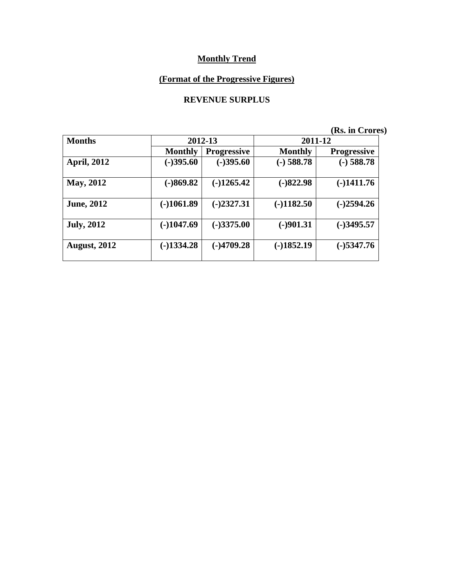### **(Format of the Progressive Figures)**

#### **REVENUE SURPLUS**

| <b>Months</b>       |                | 2012-13            | 2011-12        |                    |  |
|---------------------|----------------|--------------------|----------------|--------------------|--|
|                     | <b>Monthly</b> | <b>Progressive</b> | <b>Monthly</b> | <b>Progressive</b> |  |
| <b>April, 2012</b>  | $(-)395.60$    | $(-)395.60$        | $(-)$ 588.78   | $(-)$ 588.78       |  |
| <b>May, 2012</b>    | $(-)869.82$    | $(-)1265.42$       | $(-)822.98$    | $(-)1411.76$       |  |
| <b>June, 2012</b>   | $(-)1061.89$   | $(-)2327.31$       | $(-)1182.50$   | $(-)2594.26$       |  |
| <b>July, 2012</b>   | $(-)1047.69$   | $(-)3375.00$       | $(-)901.31$    | $(-)3495.57$       |  |
| <b>August, 2012</b> | $(-)1334.28$   | $(-)4709.28$       | $(-)1852.19$   | $(-)$ 5347.76      |  |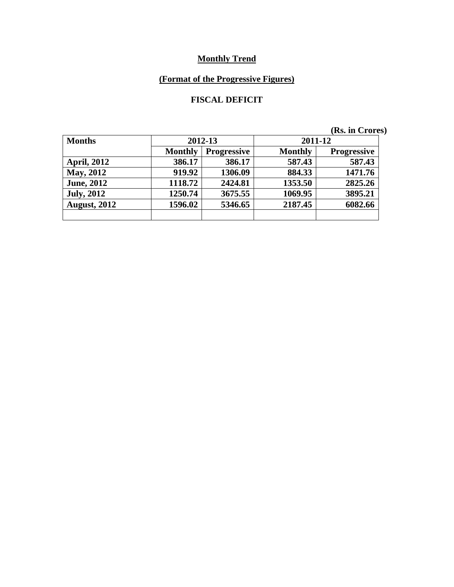# **(Format of the Progressive Figures)**

### **FISCAL DEFICIT**

| <b>Months</b>       | 2012-13                              |         | 2011-12        |                    |  |
|---------------------|--------------------------------------|---------|----------------|--------------------|--|
|                     | <b>Monthly</b><br><b>Progressive</b> |         | <b>Monthly</b> | <b>Progressive</b> |  |
| <b>April, 2012</b>  | 386.17                               | 386.17  | 587.43         | 587.43             |  |
| <b>May, 2012</b>    | 919.92                               | 1306.09 | 884.33         | 1471.76            |  |
| <b>June, 2012</b>   | 1118.72                              | 2424.81 | 1353.50        | 2825.26            |  |
| <b>July, 2012</b>   | 1250.74                              | 3675.55 | 1069.95        | 3895.21            |  |
| <b>August, 2012</b> | 1596.02                              | 5346.65 | 2187.45        | 6082.66            |  |
|                     |                                      |         |                |                    |  |